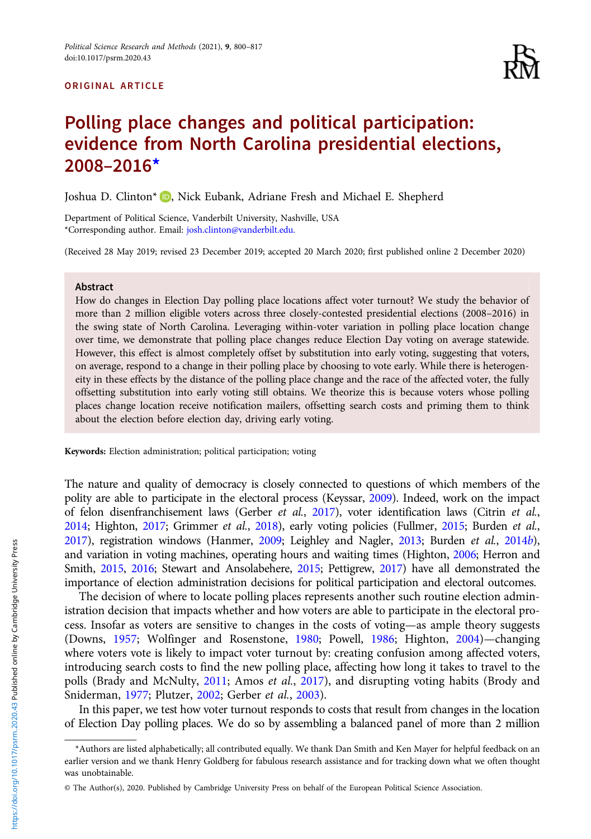#### ORIGINAL ARTICLE



# Polling place changes and political participation: evidence from North Carolina presidential elections, 2008–2016\*

Joshua D. Clinton<sup>\*</sup> D. Nick Eubank[,](https://orcid.org/0000-0003-1683-9479) Adriane Fresh and Michael E. Shepherd

Department of Political Science, Vanderbilt University, Nashville, USA \*Corresponding author. Email: [josh.clinton@vanderbilt.edu.](mailto:josh.clinton@vanderbilt.edu.)

(Received 28 May 2019; revised 23 December 2019; accepted 20 March 2020; first published online 2 December 2020)

#### Abstract

How do changes in Election Day polling place locations affect voter turnout? We study the behavior of more than 2 million eligible voters across three closely-contested presidential elections (2008–2016) in the swing state of North Carolina. Leveraging within-voter variation in polling place location change over time, we demonstrate that polling place changes reduce Election Day voting on average statewide. However, this effect is almost completely offset by substitution into early voting, suggesting that voters, on average, respond to a change in their polling place by choosing to vote early. While there is heterogeneity in these effects by the distance of the polling place change and the race of the affected voter, the fully offsetting substitution into early voting still obtains. We theorize this is because voters whose polling places change location receive notification mailers, offsetting search costs and priming them to think about the election before election day, driving early voting.

Keywords: Election administration; political participation; voting

The nature and quality of democracy is closely connected to questions of which members of the polity are able to participate in the electoral process (Keyssar, [2009](#page-17-0)). Indeed, work on the impact of felon disenfranchisement laws (Gerber et al., [2017\)](#page-17-0), voter identification laws (Citrin et al., [2014;](#page-16-0) Highton, [2017](#page-17-0); Grimmer et al., [2018](#page-17-0)), early voting policies (Fullmer, [2015;](#page-16-0) Burden et al., [2017\)](#page-16-0), registration windows (Hanmer, [2009](#page-17-0); Leighley and Nagler, [2013;](#page-17-0) Burden et al., [2014](#page-16-0)b), and variation in voting machines, operating hours and waiting times (Highton, [2006](#page-17-0); Herron and Smith, [2015](#page-17-0), [2016;](#page-17-0) Stewart and Ansolabehere, [2015](#page-17-0); Pettigrew, [2017\)](#page-17-0) have all demonstrated the importance of election administration decisions for political participation and electoral outcomes.

The decision of where to locate polling places represents another such routine election administration decision that impacts whether and how voters are able to participate in the electoral process. Insofar as voters are sensitive to changes in the costs of voting—as ample theory suggests (Downs, [1957](#page-16-0); Wolfinger and Rosenstone, [1980](#page-17-0); Powell, [1986](#page-17-0); Highton, [2004](#page-17-0))—changing where voters vote is likely to impact voter turnout by: creating confusion among affected voters, introducing search costs to find the new polling place, affecting how long it takes to travel to the polls (Brady and McNulty, [2011;](#page-16-0) Amos et al., [2017\)](#page-16-0), and disrupting voting habits (Brody and Sniderman, [1977;](#page-16-0) Plutzer, [2002;](#page-17-0) Gerber et al., [2003\)](#page-16-0).

In this paper, we test how voter turnout responds to costs that result from changes in the location of Election Day polling places. We do so by assembling a balanced panel of more than 2 million

<sup>\*</sup>Authors are listed alphabetically; all contributed equally. We thank Dan Smith and Ken Mayer for helpful feedback on an earlier version and we thank Henry Goldberg for fabulous research assistance and for tracking down what we often thought was unobtainable.

<sup>©</sup> The Author(s), 2020. Published by Cambridge University Press on behalf of the European Political Science Association.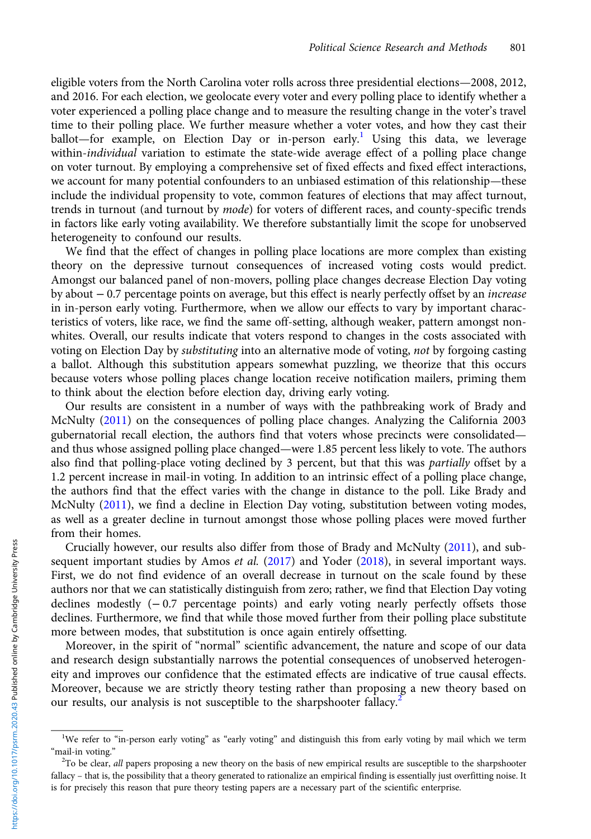eligible voters from the North Carolina voter rolls across three presidential elections—2008, 2012, and 2016. For each election, we geolocate every voter and every polling place to identify whether a voter experienced a polling place change and to measure the resulting change in the voter's travel time to their polling place. We further measure whether a voter votes, and how they cast their ballot—for example, on Election Day or in-person early.<sup>1</sup> Using this data, we leverage within-individual variation to estimate the state-wide average effect of a polling place change on voter turnout. By employing a comprehensive set of fixed effects and fixed effect interactions, we account for many potential confounders to an unbiased estimation of this relationship—these include the individual propensity to vote, common features of elections that may affect turnout, trends in turnout (and turnout by *mode*) for voters of different races, and county-specific trends in factors like early voting availability. We therefore substantially limit the scope for unobserved heterogeneity to confound our results.

We find that the effect of changes in polling place locations are more complex than existing theory on the depressive turnout consequences of increased voting costs would predict. Amongst our balanced panel of non-movers, polling place changes decrease Election Day voting by about − 0.7 percentage points on average, but this effect is nearly perfectly offset by an increase in in-person early voting. Furthermore, when we allow our effects to vary by important characteristics of voters, like race, we find the same off-setting, although weaker, pattern amongst nonwhites. Overall, our results indicate that voters respond to changes in the costs associated with voting on Election Day by *substituting* into an alternative mode of voting, not by forgoing casting a ballot. Although this substitution appears somewhat puzzling, we theorize that this occurs because voters whose polling places change location receive notification mailers, priming them to think about the election before election day, driving early voting.

Our results are consistent in a number of ways with the pathbreaking work of Brady and McNulty ([2011](#page-16-0)) on the consequences of polling place changes. Analyzing the California 2003 gubernatorial recall election, the authors find that voters whose precincts were consolidated and thus whose assigned polling place changed—were 1.85 percent less likely to vote. The authors also find that polling-place voting declined by 3 percent, but that this was *partially* offset by a 1.2 percent increase in mail-in voting. In addition to an intrinsic effect of a polling place change, the authors find that the effect varies with the change in distance to the poll. Like Brady and McNulty [\(2011](#page-16-0)), we find a decline in Election Day voting, substitution between voting modes, as well as a greater decline in turnout amongst those whose polling places were moved further from their homes.

Crucially however, our results also differ from those of Brady and McNulty [\(2011\)](#page-16-0), and sub-sequent important studies by Amos et al. [\(2017](#page-16-0)) and Yoder ([2018\)](#page-17-0), in several important ways. First, we do not find evidence of an overall decrease in turnout on the scale found by these authors nor that we can statistically distinguish from zero; rather, we find that Election Day voting declines modestly (− 0.7 percentage points) and early voting nearly perfectly offsets those declines. Furthermore, we find that while those moved further from their polling place substitute more between modes, that substitution is once again entirely offsetting.

Moreover, in the spirit of "normal" scientific advancement, the nature and scope of our data and research design substantially narrows the potential consequences of unobserved heterogeneity and improves our confidence that the estimated effects are indicative of true causal effects. Moreover, because we are strictly theory testing rather than proposing a new theory based on our results, our analysis is not susceptible to the sharpshooter fallacy.<sup>2</sup>

<sup>&</sup>lt;sup>1</sup>We refer to "in-person early voting" as "early voting" and distinguish this from early voting by mail which we term "mail-in voting."

 ${}^{2}$ To be clear, all papers proposing a new theory on the basis of new empirical results are susceptible to the sharpshooter fallacy – that is, the possibility that a theory generated to rationalize an empirical finding is essentially just overfitting noise. It is for precisely this reason that pure theory testing papers are a necessary part of the scientific enterprise.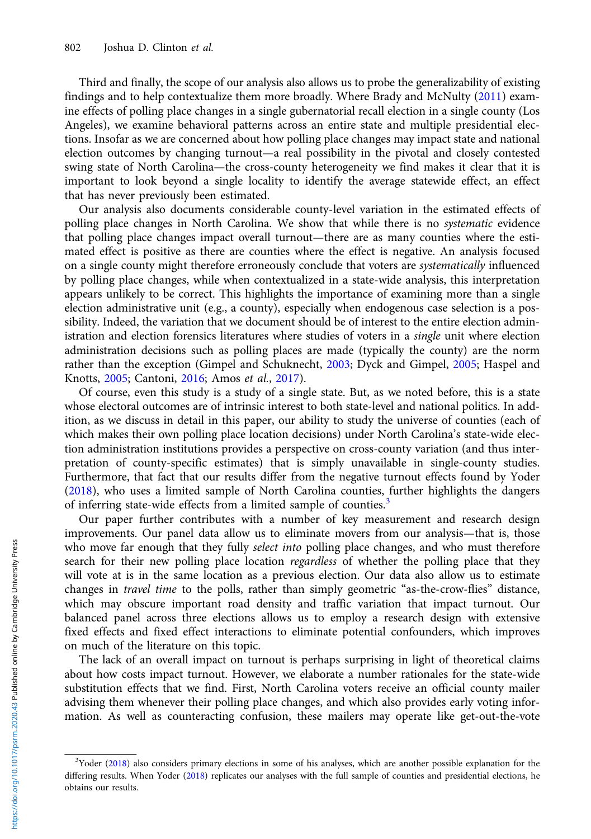Third and finally, the scope of our analysis also allows us to probe the generalizability of existing findings and to help contextualize them more broadly. Where Brady and McNulty [\(2011\)](#page-16-0) examine effects of polling place changes in a single gubernatorial recall election in a single county (Los Angeles), we examine behavioral patterns across an entire state and multiple presidential elections. Insofar as we are concerned about how polling place changes may impact state and national election outcomes by changing turnout—a real possibility in the pivotal and closely contested swing state of North Carolina—the cross-county heterogeneity we find makes it clear that it is important to look beyond a single locality to identify the average statewide effect, an effect that has never previously been estimated.

Our analysis also documents considerable county-level variation in the estimated effects of polling place changes in North Carolina. We show that while there is no systematic evidence that polling place changes impact overall turnout—there are as many counties where the estimated effect is positive as there are counties where the effect is negative. An analysis focused on a single county might therefore erroneously conclude that voters are systematically influenced by polling place changes, while when contextualized in a state-wide analysis, this interpretation appears unlikely to be correct. This highlights the importance of examining more than a single election administrative unit (e.g., a county), especially when endogenous case selection is a possibility. Indeed, the variation that we document should be of interest to the entire election administration and election forensics literatures where studies of voters in a single unit where election administration decisions such as polling places are made (typically the county) are the norm rather than the exception (Gimpel and Schuknecht, [2003](#page-17-0); Dyck and Gimpel, [2005;](#page-16-0) Haspel and Knotts, [2005;](#page-17-0) Cantoni, [2016;](#page-16-0) Amos et al., [2017\)](#page-16-0).

Of course, even this study is a study of a single state. But, as we noted before, this is a state whose electoral outcomes are of intrinsic interest to both state-level and national politics. In addition, as we discuss in detail in this paper, our ability to study the universe of counties (each of which makes their own polling place location decisions) under North Carolina's state-wide election administration institutions provides a perspective on cross-county variation (and thus interpretation of county-specific estimates) that is simply unavailable in single-county studies. Furthermore, that fact that our results differ from the negative turnout effects found by Yoder [\(2018](#page-17-0)), who uses a limited sample of North Carolina counties, further highlights the dangers of inferring state-wide effects from a limited sample of counties.<sup>3</sup>

Our paper further contributes with a number of key measurement and research design improvements. Our panel data allow us to eliminate movers from our analysis—that is, those who move far enough that they fully *select into* polling place changes, and who must therefore search for their new polling place location regardless of whether the polling place that they will vote at is in the same location as a previous election. Our data also allow us to estimate changes in *travel time* to the polls, rather than simply geometric "as-the-crow-flies" distance, which may obscure important road density and traffic variation that impact turnout. Our balanced panel across three elections allows us to employ a research design with extensive fixed effects and fixed effect interactions to eliminate potential confounders, which improves on much of the literature on this topic.

The lack of an overall impact on turnout is perhaps surprising in light of theoretical claims about how costs impact turnout. However, we elaborate a number rationales for the state-wide substitution effects that we find. First, North Carolina voters receive an official county mailer advising them whenever their polling place changes, and which also provides early voting information. As well as counteracting confusion, these mailers may operate like get-out-the-vote

<sup>&</sup>lt;sup>3</sup>Yoder [\(2018\)](#page-17-0) also considers primary elections in some of his analyses, which are another possible explanation for the differing results. When Yoder ([2018\)](#page-17-0) replicates our analyses with the full sample of counties and presidential elections, he obtains our results.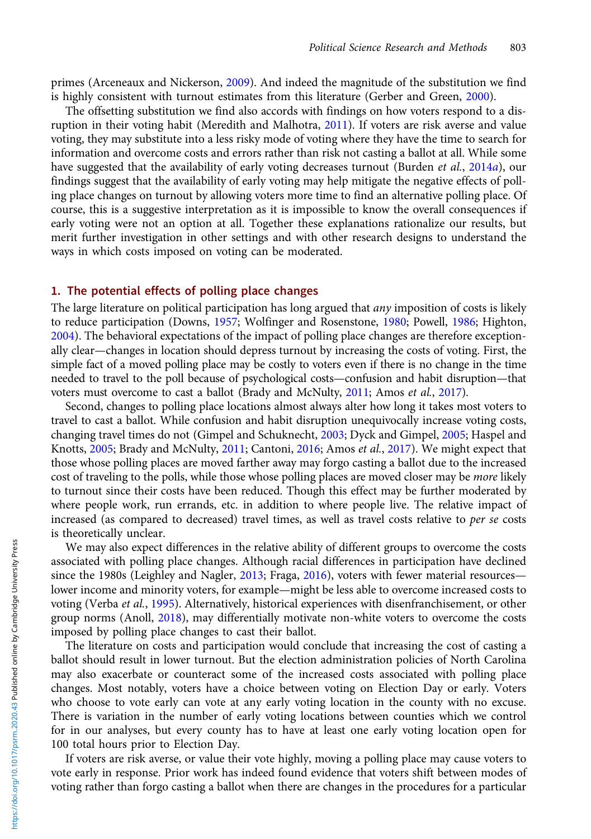primes (Arceneaux and Nickerson, [2009](#page-16-0)). And indeed the magnitude of the substitution we find is highly consistent with turnout estimates from this literature (Gerber and Green, [2000\)](#page-16-0).

The offsetting substitution we find also accords with findings on how voters respond to a disruption in their voting habit (Meredith and Malhotra, [2011\)](#page-17-0). If voters are risk averse and value voting, they may substitute into a less risky mode of voting where they have the time to search for information and overcome costs and errors rather than risk not casting a ballot at all. While some have suggested that the availability of early voting decreases turnout (Burden et al., [2014](#page-16-0)a), our findings suggest that the availability of early voting may help mitigate the negative effects of polling place changes on turnout by allowing voters more time to find an alternative polling place. Of course, this is a suggestive interpretation as it is impossible to know the overall consequences if early voting were not an option at all. Together these explanations rationalize our results, but merit further investigation in other settings and with other research designs to understand the ways in which costs imposed on voting can be moderated.

#### 1. The potential effects of polling place changes

The large literature on political participation has long argued that *any* imposition of costs is likely to reduce participation (Downs, [1957](#page-16-0); Wolfinger and Rosenstone, [1980](#page-17-0); Powell, [1986;](#page-17-0) Highton, [2004](#page-17-0)). The behavioral expectations of the impact of polling place changes are therefore exceptionally clear—changes in location should depress turnout by increasing the costs of voting. First, the simple fact of a moved polling place may be costly to voters even if there is no change in the time needed to travel to the poll because of psychological costs—confusion and habit disruption—that voters must overcome to cast a ballot (Brady and McNulty, [2011;](#page-16-0) Amos et al., [2017](#page-16-0)).

Second, changes to polling place locations almost always alter how long it takes most voters to travel to cast a ballot. While confusion and habit disruption unequivocally increase voting costs, changing travel times do not (Gimpel and Schuknecht, [2003](#page-17-0); Dyck and Gimpel, [2005;](#page-16-0) Haspel and Knotts, [2005;](#page-17-0) Brady and McNulty, [2011;](#page-16-0) Cantoni, [2016](#page-16-0); Amos et al., [2017](#page-16-0)). We might expect that those whose polling places are moved farther away may forgo casting a ballot due to the increased cost of traveling to the polls, while those whose polling places are moved closer may be *more* likely to turnout since their costs have been reduced. Though this effect may be further moderated by where people work, run errands, etc. in addition to where people live. The relative impact of increased (as compared to decreased) travel times, as well as travel costs relative to per se costs is theoretically unclear.

We may also expect differences in the relative ability of different groups to overcome the costs associated with polling place changes. Although racial differences in participation have declined since the 1980s (Leighley and Nagler, [2013;](#page-17-0) Fraga, [2016\)](#page-16-0), voters with fewer material resources lower income and minority voters, for example—might be less able to overcome increased costs to voting (Verba et al., [1995\)](#page-17-0). Alternatively, historical experiences with disenfranchisement, or other group norms (Anoll, [2018\)](#page-16-0), may differentially motivate non-white voters to overcome the costs imposed by polling place changes to cast their ballot.

The literature on costs and participation would conclude that increasing the cost of casting a ballot should result in lower turnout. But the election administration policies of North Carolina may also exacerbate or counteract some of the increased costs associated with polling place changes. Most notably, voters have a choice between voting on Election Day or early. Voters who choose to vote early can vote at any early voting location in the county with no excuse. There is variation in the number of early voting locations between counties which we control for in our analyses, but every county has to have at least one early voting location open for 100 total hours prior to Election Day.

If voters are risk averse, or value their vote highly, moving a polling place may cause voters to vote early in response. Prior work has indeed found evidence that voters shift between modes of voting rather than forgo casting a ballot when there are changes in the procedures for a particular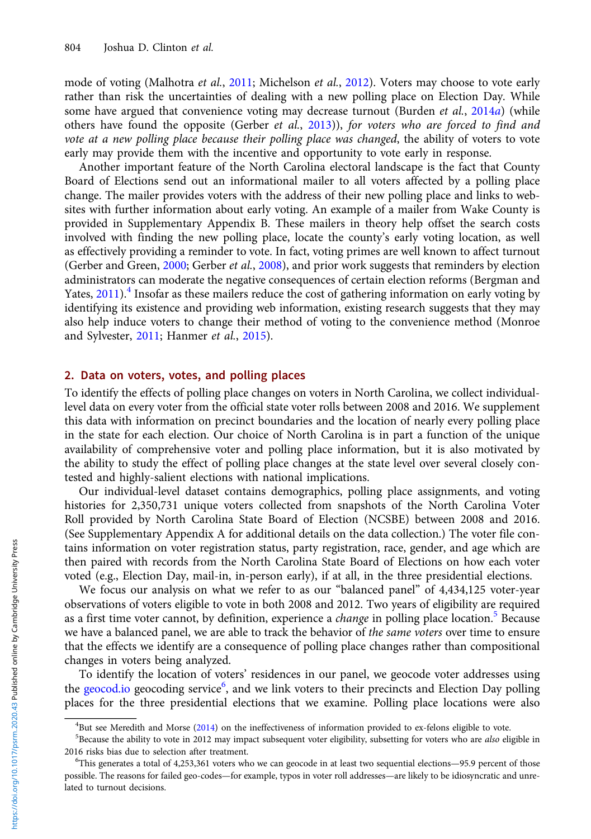mode of voting (Malhotra et al., [2011;](#page-17-0) Michelson et al., [2012](#page-17-0)). Voters may choose to vote early rather than risk the uncertainties of dealing with a new polling place on Election Day. While some have argued that convenience voting may decrease turnout (Burden et al., [2014](#page-16-0)a) (while others have found the opposite (Gerber et al.,  $2013$ )), for voters who are forced to find and vote at a new polling place because their polling place was changed, the ability of voters to vote early may provide them with the incentive and opportunity to vote early in response.

Another important feature of the North Carolina electoral landscape is the fact that County Board of Elections send out an informational mailer to all voters affected by a polling place change. The mailer provides voters with the address of their new polling place and links to websites with further information about early voting. An example of a mailer from Wake County is provided in Supplementary Appendix B. These mailers in theory help offset the search costs involved with finding the new polling place, locate the county's early voting location, as well as effectively providing a reminder to vote. In fact, voting primes are well known to affect turnout (Gerber and Green, [2000;](#page-16-0) Gerber et al., [2008](#page-16-0)), and prior work suggests that reminders by election administrators can moderate the negative consequences of certain election reforms (Bergman and Yates,  $2011$ <sup>4</sup>. Insofar as these mailers reduce the cost of gathering information on early voting by identifying its existence and providing web information, existing research suggests that they may also help induce voters to change their method of voting to the convenience method (Monroe and Sylvester, [2011](#page-17-0); Hanmer et al., [2015](#page-17-0)).

## 2. Data on voters, votes, and polling places

To identify the effects of polling place changes on voters in North Carolina, we collect individuallevel data on every voter from the official state voter rolls between 2008 and 2016. We supplement this data with information on precinct boundaries and the location of nearly every polling place in the state for each election. Our choice of North Carolina is in part a function of the unique availability of comprehensive voter and polling place information, but it is also motivated by the ability to study the effect of polling place changes at the state level over several closely contested and highly-salient elections with national implications.

Our individual-level dataset contains demographics, polling place assignments, and voting histories for 2,350,731 unique voters collected from snapshots of the North Carolina Voter Roll provided by North Carolina State Board of Election (NCSBE) between 2008 and 2016. (See Supplementary Appendix A for additional details on the data collection.) The voter file contains information on voter registration status, party registration, race, gender, and age which are then paired with records from the North Carolina State Board of Elections on how each voter voted (e.g., Election Day, mail-in, in-person early), if at all, in the three presidential elections.

We focus our analysis on what we refer to as our "balanced panel" of 4,434,125 voter-year observations of voters eligible to vote in both 2008 and 2012. Two years of eligibility are required as a first time voter cannot, by definition, experience a *change* in polling place location.<sup>5</sup> Because we have a balanced panel, we are able to track the behavior of the same voters over time to ensure that the effects we identify are a consequence of polling place changes rather than compositional changes in voters being analyzed.

To identify the location of voters' residences in our panel, we geocode voter addresses using the <geocod.io> geocoding service<sup>6</sup>, and we link voters to their precincts and Election Day polling places for the three presidential elections that we examine. Polling place locations were also

<sup>&</sup>lt;sup>4</sup>But see Meredith and Morse [\(2014](#page-17-0)) on the ineffectiveness of information provided to ex-felons eligible to vote.  $5R$ <br> $5R$  secause the ability to vote in 2012 may impact subsequent voter eligibility subsetting for voter

<sup>&</sup>lt;sup>5</sup>Because the ability to vote in 2012 may impact subsequent voter eligibility, subsetting for voters who are also eligible in 2016 risks bias due to selection after treatment. <sup>6</sup>

 $6$ This generates a total of 4,253,361 voters who we can geocode in at least two sequential elections—95.9 percent of those possible. The reasons for failed geo-codes—for example, typos in voter roll addresses—are likely to be idiosyncratic and unrelated to turnout decisions.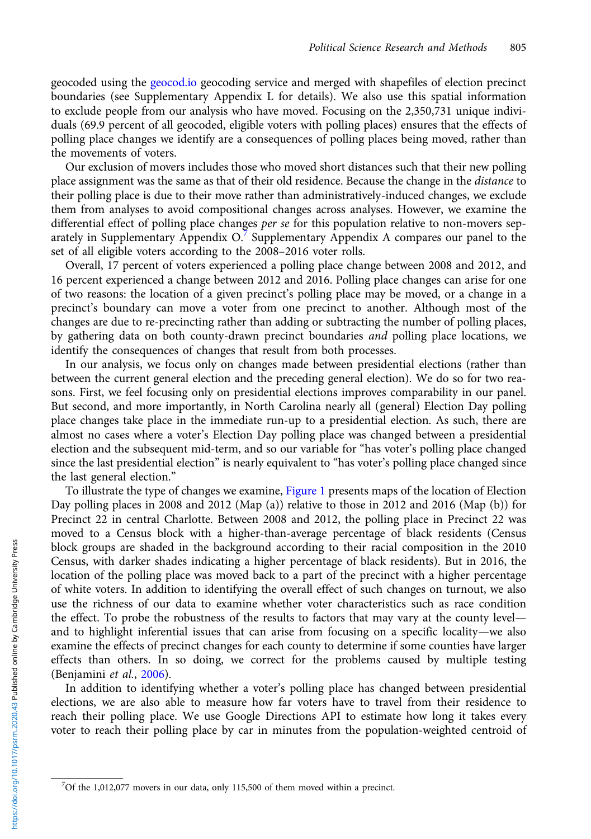geocoded using the <geocod.io> geocoding service and merged with shapefiles of election precinct boundaries (see Supplementary Appendix L for details). We also use this spatial information to exclude people from our analysis who have moved. Focusing on the 2,350,731 unique individuals (69.9 percent of all geocoded, eligible voters with polling places) ensures that the effects of polling place changes we identify are a consequences of polling places being moved, rather than the movements of voters.

Our exclusion of movers includes those who moved short distances such that their new polling place assignment was the same as that of their old residence. Because the change in the distance to their polling place is due to their move rather than administratively-induced changes, we exclude them from analyses to avoid compositional changes across analyses. However, we examine the differential effect of polling place changes *per se* for this population relative to non-movers separately in Supplementary Appendix O.<sup>7</sup> Supplementary Appendix A compares our panel to the set of all eligible voters according to the 2008–2016 voter rolls.

Overall, 17 percent of voters experienced a polling place change between 2008 and 2012, and 16 percent experienced a change between 2012 and 2016. Polling place changes can arise for one of two reasons: the location of a given precinct's polling place may be moved, or a change in a precinct's boundary can move a voter from one precinct to another. Although most of the changes are due to re-precincting rather than adding or subtracting the number of polling places, by gathering data on both county-drawn precinct boundaries *and* polling place locations, we identify the consequences of changes that result from both processes.

In our analysis, we focus only on changes made between presidential elections (rather than between the current general election and the preceding general election). We do so for two reasons. First, we feel focusing only on presidential elections improves comparability in our panel. But second, and more importantly, in North Carolina nearly all (general) Election Day polling place changes take place in the immediate run-up to a presidential election. As such, there are almost no cases where a voter's Election Day polling place was changed between a presidential election and the subsequent mid-term, and so our variable for "has voter's polling place changed since the last presidential election" is nearly equivalent to "has voter's polling place changed since the last general election."

To illustrate the type of changes we examine, [Figure 1](#page-6-0) presents maps of the location of Election Day polling places in 2008 and 2012 (Map (a)) relative to those in 2012 and 2016 (Map (b)) for Precinct 22 in central Charlotte. Between 2008 and 2012, the polling place in Precinct 22 was moved to a Census block with a higher-than-average percentage of black residents (Census block groups are shaded in the background according to their racial composition in the 2010 Census, with darker shades indicating a higher percentage of black residents). But in 2016, the location of the polling place was moved back to a part of the precinct with a higher percentage of white voters. In addition to identifying the overall effect of such changes on turnout, we also use the richness of our data to examine whether voter characteristics such as race condition the effect. To probe the robustness of the results to factors that may vary at the county level and to highlight inferential issues that can arise from focusing on a specific locality—we also examine the effects of precinct changes for each county to determine if some counties have larger effects than others. In so doing, we correct for the problems caused by multiple testing (Benjamini et al., [2006](#page-16-0)).

In addition to identifying whether a voter's polling place has changed between presidential elections, we are also able to measure how far voters have to travel from their residence to reach their polling place. We use Google Directions API to estimate how long it takes every voter to reach their polling place by car in minutes from the population-weighted centroid of

 $7$ Of the 1,012,077 movers in our data, only 115,500 of them moved within a precinct.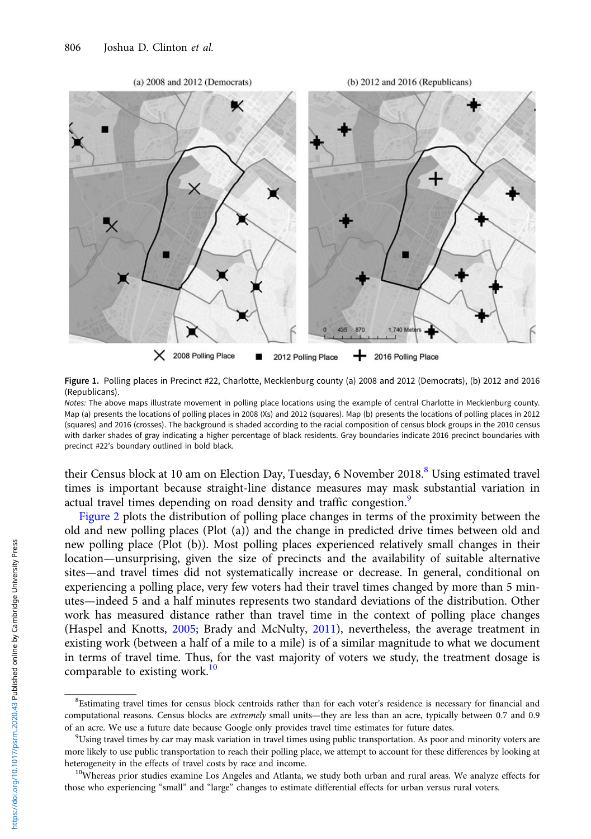<span id="page-6-0"></span>

Figure 1. Polling places in Precinct #22, Charlotte, Mecklenburg county (a) 2008 and 2012 (Democrats), (b) 2012 and 2016 (Republicans).

Notes: The above maps illustrate movement in polling place locations using the example of central Charlotte in Mecklenburg county. Map (a) presents the locations of polling places in 2008 (Xs) and 2012 (squares). Map (b) presents the locations of polling places in 2012 (squares) and 2016 (crosses). The background is shaded according to the racial composition of census block groups in the 2010 census with darker shades of gray indicating a higher percentage of black residents. Gray boundaries indicate 2016 precinct boundaries with precinct #22's boundary outlined in bold black.

their Census block at 10 am on Election Day, Tuesday, 6 November 2018.<sup>8</sup> Using estimated travel times is important because straight-line distance measures may mask substantial variation in actual travel times depending on road density and traffic congestion.<sup>9</sup>

[Figure 2](#page-7-0) plots the distribution of polling place changes in terms of the proximity between the old and new polling places (Plot (a)) and the change in predicted drive times between old and new polling place (Plot (b)). Most polling places experienced relatively small changes in their location—unsurprising, given the size of precincts and the availability of suitable alternative sites—and travel times did not systematically increase or decrease. In general, conditional on experiencing a polling place, very few voters had their travel times changed by more than 5 minutes—indeed 5 and a half minutes represents two standard deviations of the distribution. Other work has measured distance rather than travel time in the context of polling place changes (Haspel and Knotts, [2005](#page-17-0); Brady and McNulty, [2011\)](#page-16-0), nevertheless, the average treatment in existing work (between a half of a mile to a mile) is of a similar magnitude to what we document in terms of travel time. Thus, for the vast majority of voters we study, the treatment dosage is comparable to existing work.<sup>10</sup>

<sup>8</sup> Estimating travel times for census block centroids rather than for each voter's residence is necessary for financial and computational reasons. Census blocks are *extremely* small units—they are less than an acre, typically between 0.7 and 0.9 of an acre. We use a future date because Google only provides travel time estimates for future dates. <sup>9</sup>

 $^{9}$ Using travel times by car may mask variation in travel times using public transportation. As poor and minority voters are more likely to use public transportation to reach their polling place, we attempt to account for these differences by looking at heterogeneity in the effects of travel costs by race and income.<br><sup>10</sup>Whereas prior studies examine Los Angeles and Atlanta, we study both urban and rural areas. We analyze effects for

those who experiencing "small" and "large" changes to estimate differential effects for urban versus rural voters.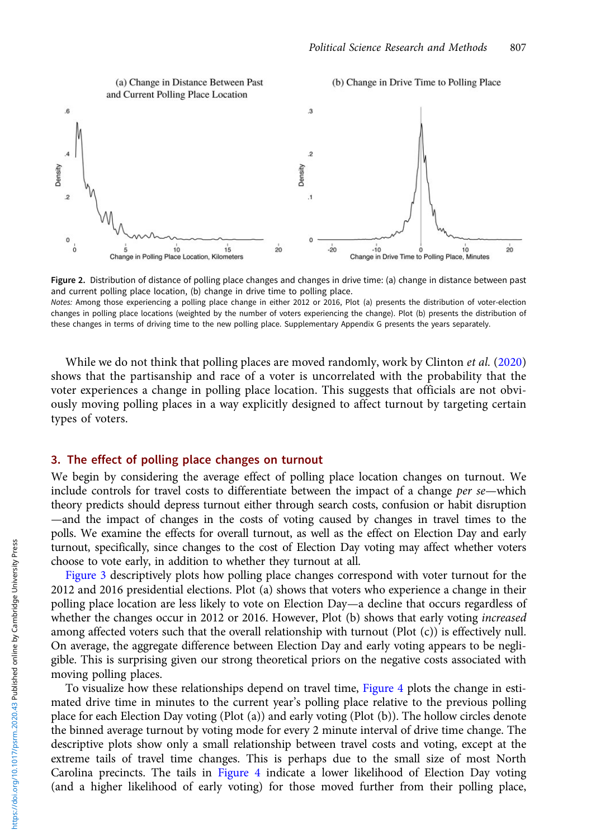<span id="page-7-0"></span>

Figure 2. Distribution of distance of polling place changes and changes in drive time: (a) change in distance between past and current polling place location, (b) change in drive time to polling place.

Notes: Among those experiencing a polling place change in either 2012 or 2016, Plot (a) presents the distribution of voter-election changes in polling place locations (weighted by the number of voters experiencing the change). Plot (b) presents the distribution of these changes in terms of driving time to the new polling place. Supplementary Appendix G presents the years separately.

While we do not think that polling places are moved randomly, work by Clinton *et al.* ([2020\)](#page-16-0) shows that the partisanship and race of a voter is uncorrelated with the probability that the voter experiences a change in polling place location. This suggests that officials are not obviously moving polling places in a way explicitly designed to affect turnout by targeting certain types of voters.

# 3. The effect of polling place changes on turnout

We begin by considering the average effect of polling place location changes on turnout. We include controls for travel costs to differentiate between the impact of a change per se—which theory predicts should depress turnout either through search costs, confusion or habit disruption —and the impact of changes in the costs of voting caused by changes in travel times to the polls. We examine the effects for overall turnout, as well as the effect on Election Day and early turnout, specifically, since changes to the cost of Election Day voting may affect whether voters choose to vote early, in addition to whether they turnout at all.

[Figure 3](#page-8-0) descriptively plots how polling place changes correspond with voter turnout for the 2012 and 2016 presidential elections. Plot (a) shows that voters who experience a change in their polling place location are less likely to vote on Election Day—a decline that occurs regardless of whether the changes occur in 2012 or 2016. However, Plot (b) shows that early voting *increased* among affected voters such that the overall relationship with turnout (Plot (c)) is effectively null. On average, the aggregate difference between Election Day and early voting appears to be negligible. This is surprising given our strong theoretical priors on the negative costs associated with moving polling places.

To visualize how these relationships depend on travel time, [Figure 4](#page-8-0) plots the change in estimated drive time in minutes to the current year's polling place relative to the previous polling place for each Election Day voting (Plot (a)) and early voting (Plot (b)). The hollow circles denote the binned average turnout by voting mode for every 2 minute interval of drive time change. The descriptive plots show only a small relationship between travel costs and voting, except at the extreme tails of travel time changes. This is perhaps due to the small size of most North Carolina precincts. The tails in [Figure 4](#page-8-0) indicate a lower likelihood of Election Day voting (and a higher likelihood of early voting) for those moved further from their polling place,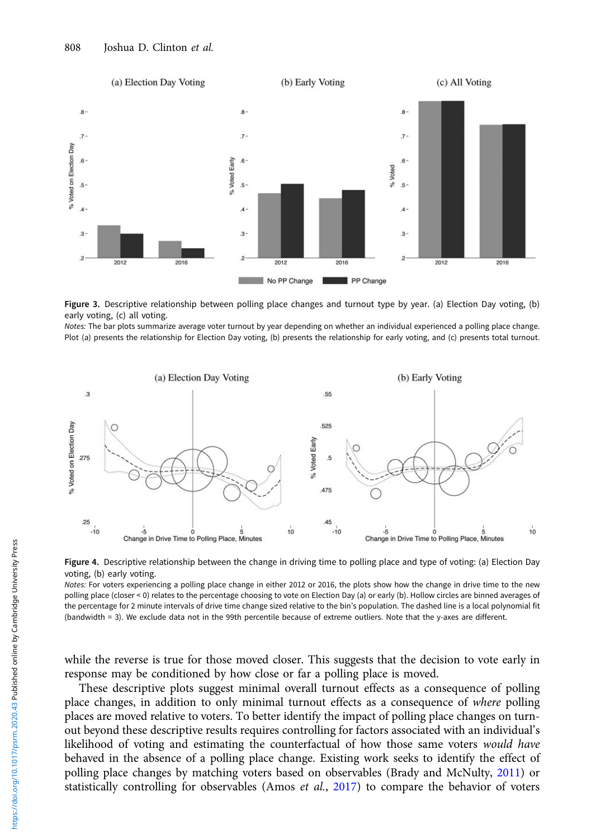<span id="page-8-0"></span>



Notes: The bar plots summarize average voter turnout by year depending on whether an individual experienced a polling place change. Plot (a) presents the relationship for Election Day voting, (b) presents the relationship for early voting, and (c) presents total turnout.



Figure 4. Descriptive relationship between the change in driving time to polling place and type of voting: (a) Election Day voting, (b) early voting.

Notes: For voters experiencing a polling place change in either 2012 or 2016, the plots show how the change in drive time to the new polling place (closer < 0) relates to the percentage choosing to vote on Election Day (a) or early (b). Hollow circles are binned averages of the percentage for 2 minute intervals of drive time change sized relative to the bin's population. The dashed line is a local polynomial fit (bandwidth = 3). We exclude data not in the 99th percentile because of extreme outliers. Note that the y-axes are different.

while the reverse is true for those moved closer. This suggests that the decision to vote early in response may be conditioned by how close or far a polling place is moved.

These descriptive plots suggest minimal overall turnout effects as a consequence of polling place changes, in addition to only minimal turnout effects as a consequence of where polling places are moved relative to voters. To better identify the impact of polling place changes on turnout beyond these descriptive results requires controlling for factors associated with an individual's likelihood of voting and estimating the counterfactual of how those same voters would have behaved in the absence of a polling place change. Existing work seeks to identify the effect of polling place changes by matching voters based on observables (Brady and McNulty, [2011\)](#page-16-0) or statistically controlling for observables (Amos et al.,  $2017$ ) to compare the behavior of voters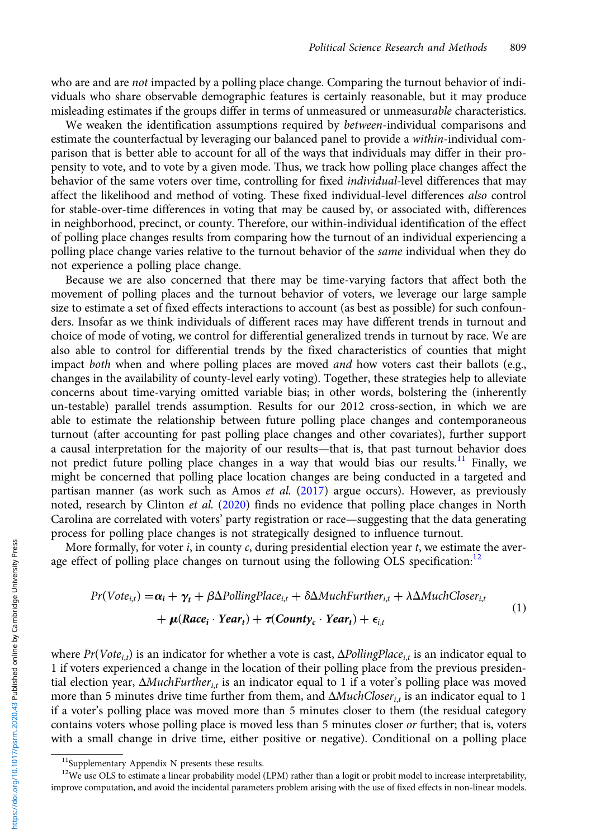<span id="page-9-0"></span>who are and are *not* impacted by a polling place change. Comparing the turnout behavior of individuals who share observable demographic features is certainly reasonable, but it may produce misleading estimates if the groups differ in terms of unmeasured or unmeasurable characteristics.

We weaken the identification assumptions required by *between*-individual comparisons and estimate the counterfactual by leveraging our balanced panel to provide a within-individual comparison that is better able to account for all of the ways that individuals may differ in their propensity to vote, and to vote by a given mode. Thus, we track how polling place changes affect the behavior of the same voters over time, controlling for fixed *individual-level* differences that may affect the likelihood and method of voting. These fixed individual-level differences also control for stable-over-time differences in voting that may be caused by, or associated with, differences in neighborhood, precinct, or county. Therefore, our within-individual identification of the effect of polling place changes results from comparing how the turnout of an individual experiencing a polling place change varies relative to the turnout behavior of the *same* individual when they do not experience a polling place change.

Because we are also concerned that there may be time-varying factors that affect both the movement of polling places and the turnout behavior of voters, we leverage our large sample size to estimate a set of fixed effects interactions to account (as best as possible) for such confounders. Insofar as we think individuals of different races may have different trends in turnout and choice of mode of voting, we control for differential generalized trends in turnout by race. We are also able to control for differential trends by the fixed characteristics of counties that might impact both when and where polling places are moved *and* how voters cast their ballots (e.g., changes in the availability of county-level early voting). Together, these strategies help to alleviate concerns about time-varying omitted variable bias; in other words, bolstering the (inherently un-testable) parallel trends assumption. Results for our 2012 cross-section, in which we are able to estimate the relationship between future polling place changes and contemporaneous turnout (after accounting for past polling place changes and other covariates), further support a causal interpretation for the majority of our results—that is, that past turnout behavior does not predict future polling place changes in a way that would bias our results.<sup>11</sup> Finally, we might be concerned that polling place location changes are being conducted in a targeted and partisan manner (as work such as Amos et al. ([2017\)](#page-16-0) argue occurs). However, as previously noted, research by Clinton et al. ([2020](#page-16-0)) finds no evidence that polling place changes in North Carolina are correlated with voters' party registration or race—suggesting that the data generating process for polling place changes is not strategically designed to influence turnout.

More formally, for voter  $i$ , in county  $c$ , during presidential election year  $t$ , we estimate the average effect of polling place changes on turnout using the following OLS specification: $12$ 

$$
Pr(Vote_{i,t}) = \alpha_i + \gamma_t + \beta \Delta PollingPlace_{i,t} + \delta \Delta MuchFurther_{i,t} + \lambda \Delta MuchClose_{i,t} + \mu(Race_i \cdot Year_t) + \tau(Country_c \cdot Year_t) + \epsilon_{i,t}
$$
\n(1)

where  $Pr(Vote_{i,t})$  is an indicator for whether a vote is cast,  $\Delta$ PollingPlace<sub>i,t</sub> is an indicator equal to 1 if voters experienced a change in the location of their polling place from the previous presidential election year,  $\Delta MuchFurther_{it}$  is an indicator equal to 1 if a voter's polling place was moved more than 5 minutes drive time further from them, and  $\Delta MuchCloser_{it}$  is an indicator equal to 1 if a voter's polling place was moved more than 5 minutes closer to them (the residual category contains voters whose polling place is moved less than 5 minutes closer or further; that is, voters with a small change in drive time, either positive or negative). Conditional on a polling place

<sup>&</sup>lt;sup>11</sup>Supplementary Appendix N presents these results.

 $12$ We use OLS to estimate a linear probability model (LPM) rather than a logit or probit model to increase interpretability, improve computation, and avoid the incidental parameters problem arising with the use of fixed effects in non-linear models.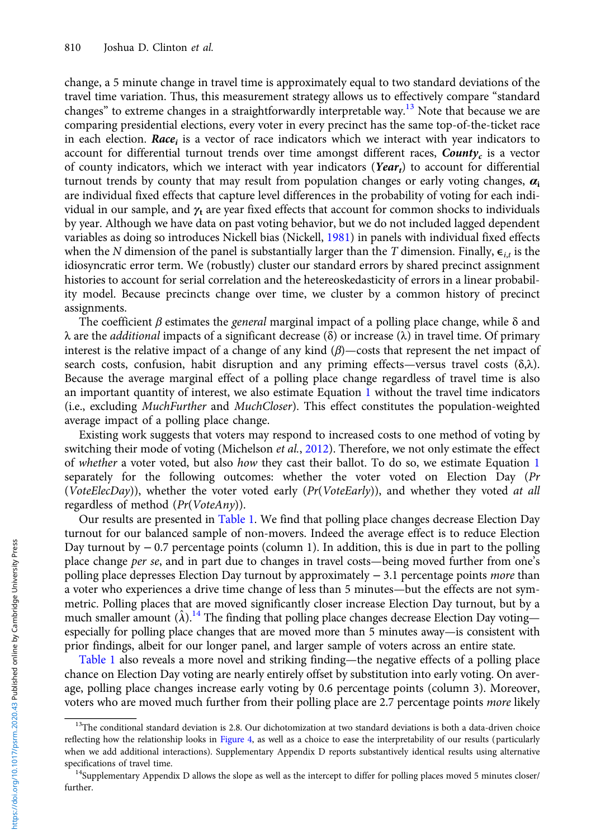change, a 5 minute change in travel time is approximately equal to two standard deviations of the travel time variation. Thus, this measurement strategy allows us to effectively compare "standard changes" to extreme changes in a straightforwardly interpretable way.<sup>13</sup> Note that because we are comparing presidential elections, every voter in every precinct has the same top-of-the-ticket race in each election. Race<sub>i</sub> is a vector of race indicators which we interact with year indicators to account for differential turnout trends over time amongst different races,  $County_c$  is a vector of county indicators, which we interact with year indicators (Yeart) to account for differential turnout trends by county that may result from population changes or early voting changes,  $\alpha_i$ are individual fixed effects that capture level differences in the probability of voting for each individual in our sample, and  $\gamma_t$  are year fixed effects that account for common shocks to individuals by year. Although we have data on past voting behavior, but we do not included lagged dependent variables as doing so introduces Nickell bias (Nickell, [1981](#page-17-0)) in panels with individual fixed effects when the N dimension of the panel is substantially larger than the T dimension. Finally,  $\epsilon_{i,t}$  is the idiosyncratic error term. We (robustly) cluster our standard errors by shared precinct assignment histories to account for serial correlation and the hetereoskedasticity of errors in a linear probability model. Because precincts change over time, we cluster by a common history of precinct assignments.

The coefficient  $\beta$  estimates the *general* marginal impact of a polling place change, while  $\delta$  and λ are the additional impacts of a significant decrease (δ) or increase (λ) in travel time. Of primary interest is the relative impact of a change of any kind  $(\beta)$ —costs that represent the net impact of search costs, confusion, habit disruption and any priming effects—versus travel costs  $(\delta,\lambda)$ . Because the average marginal effect of a polling place change regardless of travel time is also an important quantity of interest, we also estimate Equation [1](#page-9-0) without the travel time indicators (i.e., excluding MuchFurther and MuchCloser). This effect constitutes the population-weighted average impact of a polling place change.

Existing work suggests that voters may respond to increased costs to one method of voting by switching their mode of voting (Michelson *et al.*, [2012](#page-17-0)). Therefore, we not only estimate the effect of whether a voter voted, but also how they cast their ballot. To do so, we estimate Equation [1](#page-9-0) separately for the following outcomes: whether the voter voted on Election Day (Pr (VoteElecDay)), whether the voter voted early (Pr(VoteEarly)), and whether they voted at all regardless of method  $(Pr(VoteAny))$ .

Our results are presented in [Table 1](#page-11-0). We find that polling place changes decrease Election Day turnout for our balanced sample of non-movers. Indeed the average effect is to reduce Election Day turnout by − 0.7 percentage points (column 1). In addition, this is due in part to the polling place change per se, and in part due to changes in travel costs—being moved further from one's polling place depresses Election Day turnout by approximately − 3.1 percentage points more than a voter who experiences a drive time change of less than 5 minutes—but the effects are not symmetric. Polling places that are moved significantly closer increase Election Day turnout, but by a much smaller amount  $(\hat{\lambda})$ .<sup>14</sup> The finding that polling place changes decrease Election Day voting especially for polling place changes that are moved more than 5 minutes away—is consistent with prior findings, albeit for our longer panel, and larger sample of voters across an entire state.

[Table 1](#page-11-0) also reveals a more novel and striking finding—the negative effects of a polling place chance on Election Day voting are nearly entirely offset by substitution into early voting. On average, polling place changes increase early voting by 0.6 percentage points (column 3). Moreover, voters who are moved much further from their polling place are 2.7 percentage points more likely

 $13$ The conditional standard deviation is 2.8. Our dichotomization at two standard deviations is both a data-driven choice reflecting how the relationship looks in [Figure 4](#page-8-0), as well as a choice to ease the interpretability of our results (particularly when we add additional interactions). Supplementary Appendix D reports substantively identical results using alternative specifications of travel time.<br><sup>14</sup>Supplementary Appendix D allows the slope as well as the intercept to differ for polling places moved 5 minutes closer/

further.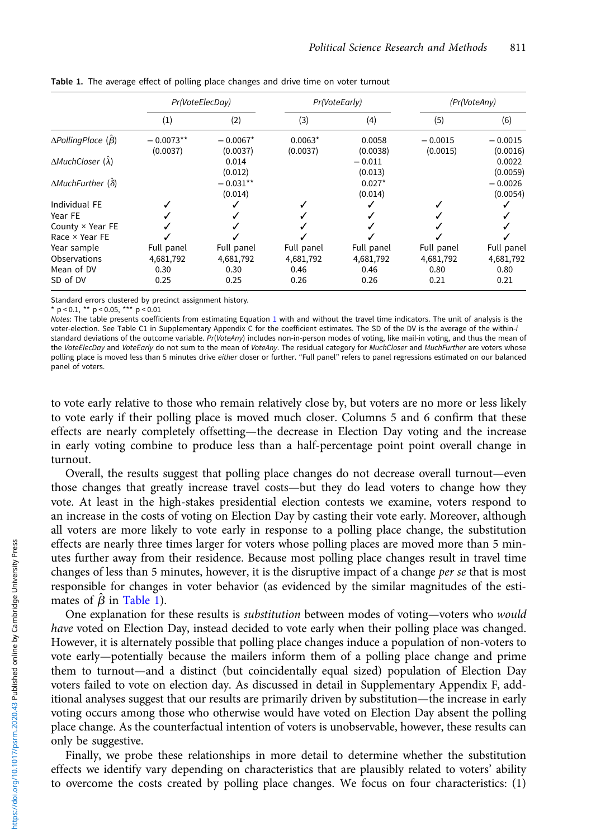|                                         | Pr(VoteElecDay)         |                        | Pr(VoteEarly)         |                     | (Pr(VoteAny)          |                       |
|-----------------------------------------|-------------------------|------------------------|-----------------------|---------------------|-----------------------|-----------------------|
|                                         | (1)                     | (2)                    | (3)                   | (4)                 | (5)                   | (6)                   |
| $\Delta$ PollingPlace ( $\hat{\beta}$ ) | $-0.0073**$<br>(0.0037) | $-0.0067*$<br>(0.0037) | $0.0063*$<br>(0.0037) | 0.0058<br>(0.0038)  | $-0.0015$<br>(0.0015) | $-0.0015$<br>(0.0016) |
| $\Delta MuchCloser(\lambda)$            |                         | 0.014<br>(0.012)       |                       | $-0.011$<br>(0.013) |                       | 0.0022<br>(0.0059)    |
| $\Delta M$ uchFurther ( $\delta$ )      |                         | $-0.031**$<br>(0.014)  |                       | $0.027*$<br>(0.014) |                       | $-0.0026$<br>(0.0054) |
| Individual FE                           |                         |                        |                       |                     |                       |                       |
| Year FE                                 |                         |                        |                       |                     |                       |                       |
| County × Year FE                        |                         |                        |                       |                     |                       |                       |
| Race × Year FE                          |                         |                        |                       |                     |                       |                       |
| Year sample                             | Full panel              | Full panel             | Full panel            | Full panel          | Full panel            | Full panel            |
| Observations                            | 4,681,792               | 4,681,792              | 4,681,792             | 4,681,792           | 4,681,792             | 4,681,792             |
| Mean of DV                              | 0.30                    | 0.30                   | 0.46                  | 0.46                | 0.80                  | 0.80                  |
| SD of DV                                | 0.25                    | 0.25                   | 0.26                  | 0.26                | 0.21                  | 0.21                  |

<span id="page-11-0"></span>Table 1. The average effect of polling place changes and drive time on voter turnout

Standard errors clustered by precinct assignment history.

\* p < 0.1, \*\* p < 0.05, \*\*\* p < 0.01<br>Notes: The table presents coefficients from estimating Equation 1 with and without the travel time indicators. The unit of analysis is the Notes: The table presents coefficients from estimating Equation [1](#page-9-0) with and without the travel time indicators. The unit of analysis is the<br>voter-election. See Table C1 in Supplementary Appendix C for the coefficient estima standard deviations of the outcome variable. Pr(VoteAny) includes non-in-person modes of voting, like mail-in voting, and thus the mean of<br>the VoteElecDay and VoteEarly do not sum to the mean of VoteAny. The residual categ polling place is moved less than 5 minutes drive either closer or further. "Full panel" refers to panel regressions estimated on our balanced panel of voters.

to vote early relative to those who remain relatively close by, but voters are no more or less likely to vote early if their polling place is moved much closer. Columns 5 and 6 confirm that these effects are nearly completely offsetting—the decrease in Election Day voting and the increase in early voting combine to produce less than a half-percentage point point overall change in turnout.

Overall, the results suggest that polling place changes do not decrease overall turnout—even those changes that greatly increase travel costs—but they do lead voters to change how they vote. At least in the high-stakes presidential election contests we examine, voters respond to an increase in the costs of voting on Election Day by casting their vote early. Moreover, although all voters are more likely to vote early in response to a polling place change, the substitution effects are nearly three times larger for voters whose polling places are moved more than 5 minutes further away from their residence. Because most polling place changes result in travel time changes of less than 5 minutes, however, it is the disruptive impact of a change *per se* that is most responsible for changes in voter behavior (as evidenced by the similar magnitudes of the estimates of  $\hat{\beta}$  in Table 1).

One explanation for these results is substitution between modes of voting—voters who would have voted on Election Day, instead decided to vote early when their polling place was changed. However, it is alternately possible that polling place changes induce a population of non-voters to vote early—potentially because the mailers inform them of a polling place change and prime them to turnout—and a distinct (but coincidentally equal sized) population of Election Day voters failed to vote on election day. As discussed in detail in Supplementary Appendix F, additional analyses suggest that our results are primarily driven by substitution—the increase in early voting occurs among those who otherwise would have voted on Election Day absent the polling place change. As the counterfactual intention of voters is unobservable, however, these results can only be suggestive.

Finally, we probe these relationships in more detail to determine whether the substitution effects we identify vary depending on characteristics that are plausibly related to voters' ability to overcome the costs created by polling place changes. We focus on four characteristics: (1)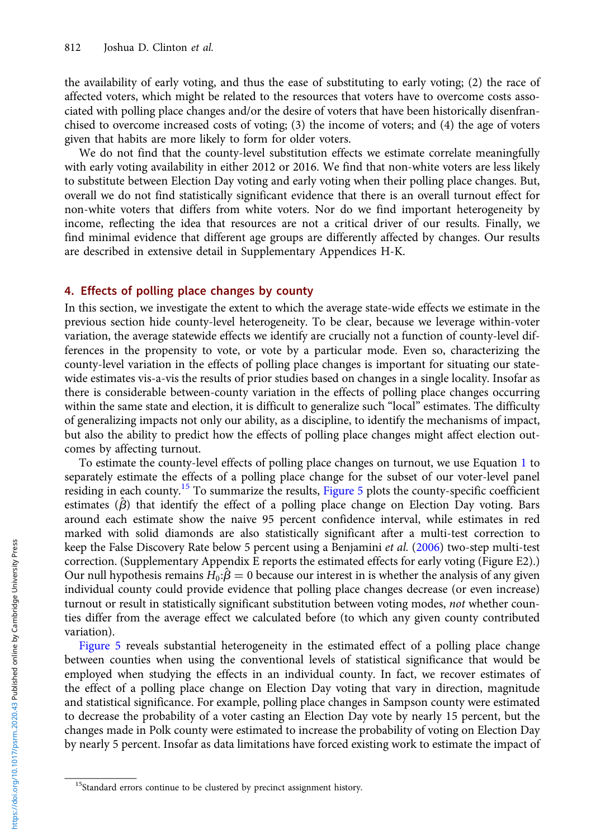the availability of early voting, and thus the ease of substituting to early voting; (2) the race of affected voters, which might be related to the resources that voters have to overcome costs associated with polling place changes and/or the desire of voters that have been historically disenfranchised to overcome increased costs of voting; (3) the income of voters; and (4) the age of voters given that habits are more likely to form for older voters.

We do not find that the county-level substitution effects we estimate correlate meaningfully with early voting availability in either 2012 or 2016. We find that non-white voters are less likely to substitute between Election Day voting and early voting when their polling place changes. But, overall we do not find statistically significant evidence that there is an overall turnout effect for non-white voters that differs from white voters. Nor do we find important heterogeneity by income, reflecting the idea that resources are not a critical driver of our results. Finally, we find minimal evidence that different age groups are differently affected by changes. Our results are described in extensive detail in Supplementary Appendices H-K.

## 4. Effects of polling place changes by county

In this section, we investigate the extent to which the average state-wide effects we estimate in the previous section hide county-level heterogeneity. To be clear, because we leverage within-voter variation, the average statewide effects we identify are crucially not a function of county-level differences in the propensity to vote, or vote by a particular mode. Even so, characterizing the county-level variation in the effects of polling place changes is important for situating our statewide estimates vis-a-vis the results of prior studies based on changes in a single locality. Insofar as there is considerable between-county variation in the effects of polling place changes occurring within the same state and election, it is difficult to generalize such "local" estimates. The difficulty of generalizing impacts not only our ability, as a discipline, to identify the mechanisms of impact, but also the ability to predict how the effects of polling place changes might affect election outcomes by affecting turnout.

To estimate the county-level effects of polling place changes on turnout, we use Equation [1](#page-9-0) to separately estimate the effects of a polling place change for the subset of our voter-level panel residing in each county.<sup>15</sup> To summarize the results, [Figure 5](#page-13-0) plots the county-specific coefficient estimates  $(\hat{\beta})$  that identify the effect of a polling place change on Election Day voting. Bars around each estimate show the naive 95 percent confidence interval, while estimates in red marked with solid diamonds are also statistically significant after a multi-test correction to keep the False Discovery Rate below 5 percent using a Benjamini et al. [\(2006](#page-16-0)) two-step multi-test correction. (Supplementary Appendix E reports the estimated effects for early voting (Figure E2).) Our null hypothesis remains  $H_0: \hat{B} = 0$  because our interest in is whether the analysis of any given individual county could provide evidence that polling place changes decrease (or even increase) turnout or result in statistically significant substitution between voting modes, not whether counties differ from the average effect we calculated before (to which any given county contributed variation).

[Figure 5](#page-13-0) reveals substantial heterogeneity in the estimated effect of a polling place change between counties when using the conventional levels of statistical significance that would be employed when studying the effects in an individual county. In fact, we recover estimates of the effect of a polling place change on Election Day voting that vary in direction, magnitude and statistical significance. For example, polling place changes in Sampson county were estimated to decrease the probability of a voter casting an Election Day vote by nearly 15 percent, but the changes made in Polk county were estimated to increase the probability of voting on Election Day by nearly 5 percent. Insofar as data limitations have forced existing work to estimate the impact of

<sup>&</sup>lt;sup>15</sup>Standard errors continue to be clustered by precinct assignment history.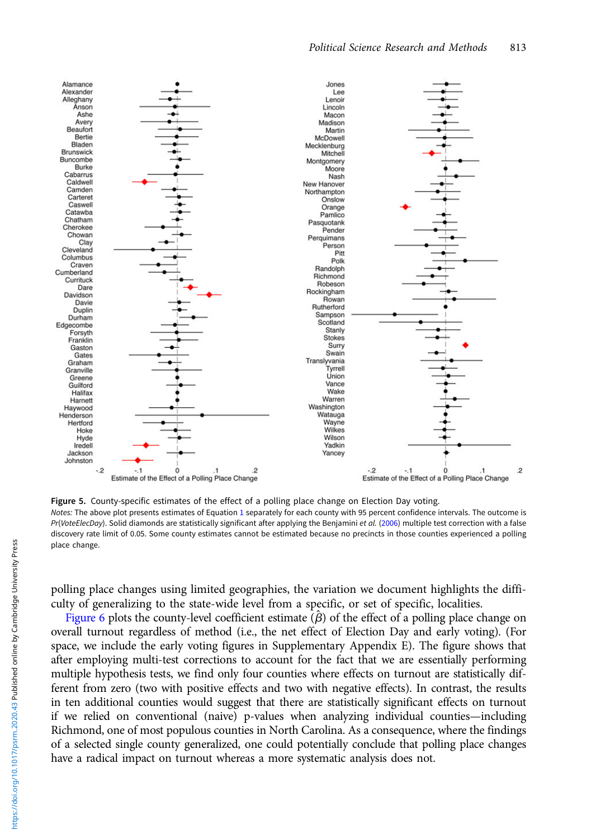<span id="page-13-0"></span>

Figure 5. County-specific estimates of the effect of a polling place change on Election Day voting. Notes: The above plot presents estimates of Equation [1](#page-9-0) separately for each county with 95 percent confidence intervals. The outcome is Pr(VoteElecDay). Solid diamonds are statistically significant after applying the Benjamini et al. [\(2006](#page-16-0)) multiple test correction with a false discovery rate limit of 0.05. Some county estimates cannot be estimated because no precincts in those counties experienced a polling place change.

polling place changes using limited geographies, the variation we document highlights the difficulty of generalizing to the state-wide level from a specific, or set of specific, localities.

[Figure 6](#page-14-0) plots the county-level coefficient estimate  $(\hat{\beta})$  of the effect of a polling place change on overall turnout regardless of method (i.e., the net effect of Election Day and early voting). (For space, we include the early voting figures in Supplementary Appendix E). The figure shows that after employing multi-test corrections to account for the fact that we are essentially performing multiple hypothesis tests, we find only four counties where effects on turnout are statistically different from zero (two with positive effects and two with negative effects). In contrast, the results in ten additional counties would suggest that there are statistically significant effects on turnout if we relied on conventional (naive) p-values when analyzing individual counties—including Richmond, one of most populous counties in North Carolina. As a consequence, where the findings of a selected single county generalized, one could potentially conclude that polling place changes have a radical impact on turnout whereas a more systematic analysis does not.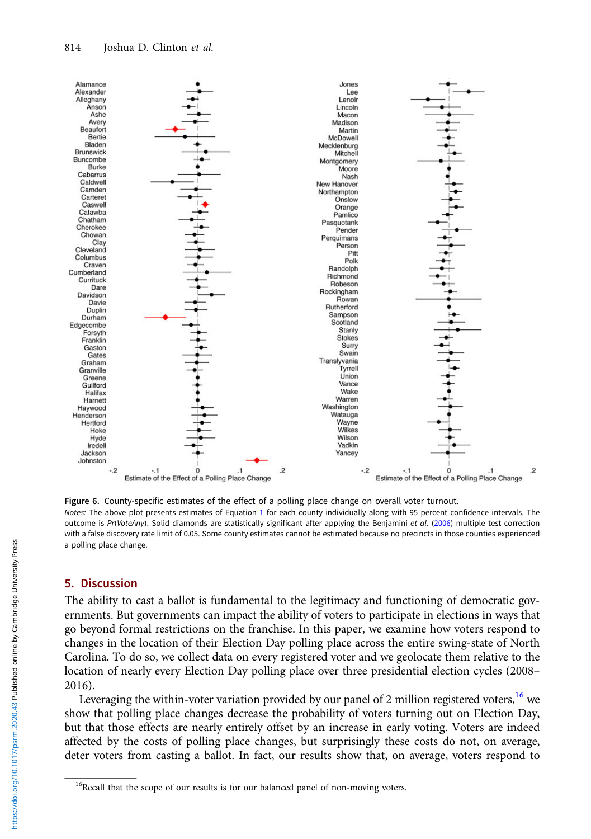<span id="page-14-0"></span>

Figure 6. County-specific estimates of the effect of a polling place change on overall voter turnout. Notes: The above plot presents estimates of Equation [1](#page-9-0) for each county individually along with 95 percent confidence intervals. The outcome is Pr(VoteAny). Solid diamonds are statistically significant after applying the Benjamini et al. [\(2006](#page-16-0)) multiple test correction with a false discovery rate limit of 0.05. Some county estimates cannot be estimated because no precincts in those counties experienced a polling place change.

# 5. Discussion

The ability to cast a ballot is fundamental to the legitimacy and functioning of democratic governments. But governments can impact the ability of voters to participate in elections in ways that go beyond formal restrictions on the franchise. In this paper, we examine how voters respond to changes in the location of their Election Day polling place across the entire swing-state of North Carolina. To do so, we collect data on every registered voter and we geolocate them relative to the location of nearly every Election Day polling place over three presidential election cycles (2008– 2016).

Leveraging the within-voter variation provided by our panel of 2 million registered voters,  $^{16}$  we show that polling place changes decrease the probability of voters turning out on Election Day, but that those effects are nearly entirely offset by an increase in early voting. Voters are indeed affected by the costs of polling place changes, but surprisingly these costs do not, on average, deter voters from casting a ballot. In fact, our results show that, on average, voters respond to

<sup>&</sup>lt;sup>16</sup>Recall that the scope of our results is for our balanced panel of non-moving voters.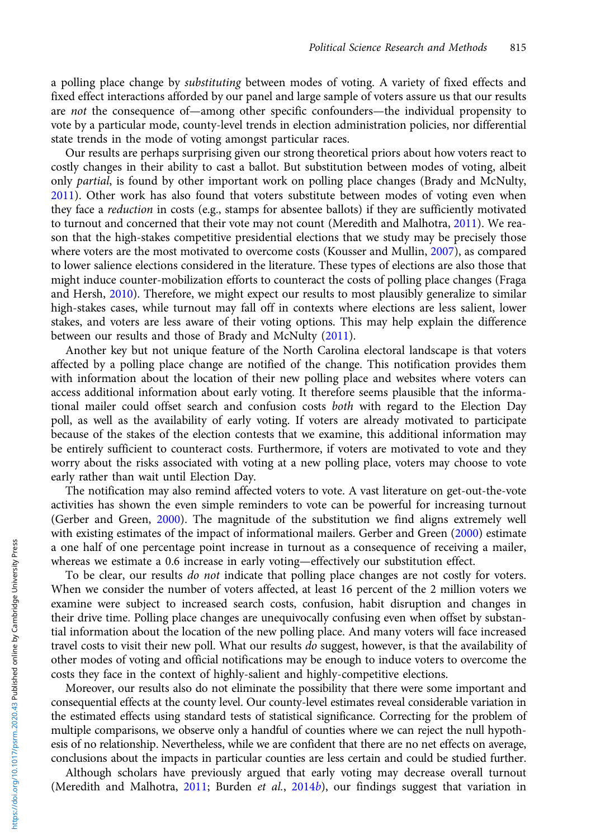a polling place change by *substituting* between modes of voting. A variety of fixed effects and fixed effect interactions afforded by our panel and large sample of voters assure us that our results are not the consequence of—among other specific confounders—the individual propensity to vote by a particular mode, county-level trends in election administration policies, nor differential state trends in the mode of voting amongst particular races.

Our results are perhaps surprising given our strong theoretical priors about how voters react to costly changes in their ability to cast a ballot. But substitution between modes of voting, albeit only partial, is found by other important work on polling place changes (Brady and McNulty, [2011](#page-16-0)). Other work has also found that voters substitute between modes of voting even when they face a *reduction* in costs (e.g., stamps for absentee ballots) if they are sufficiently motivated to turnout and concerned that their vote may not count (Meredith and Malhotra, [2011](#page-17-0)). We reason that the high-stakes competitive presidential elections that we study may be precisely those where voters are the most motivated to overcome costs (Kousser and Mullin, [2007](#page-17-0)), as compared to lower salience elections considered in the literature. These types of elections are also those that might induce counter-mobilization efforts to counteract the costs of polling place changes (Fraga and Hersh, [2010](#page-16-0)). Therefore, we might expect our results to most plausibly generalize to similar high-stakes cases, while turnout may fall off in contexts where elections are less salient, lower stakes, and voters are less aware of their voting options. This may help explain the difference between our results and those of Brady and McNulty ([2011](#page-16-0)).

Another key but not unique feature of the North Carolina electoral landscape is that voters affected by a polling place change are notified of the change. This notification provides them with information about the location of their new polling place and websites where voters can access additional information about early voting. It therefore seems plausible that the informational mailer could offset search and confusion costs both with regard to the Election Day poll, as well as the availability of early voting. If voters are already motivated to participate because of the stakes of the election contests that we examine, this additional information may be entirely sufficient to counteract costs. Furthermore, if voters are motivated to vote and they worry about the risks associated with voting at a new polling place, voters may choose to vote early rather than wait until Election Day.

The notification may also remind affected voters to vote. A vast literature on get-out-the-vote activities has shown the even simple reminders to vote can be powerful for increasing turnout (Gerber and Green, [2000\)](#page-16-0). The magnitude of the substitution we find aligns extremely well with existing estimates of the impact of informational mailers. Gerber and Green ([2000\)](#page-16-0) estimate a one half of one percentage point increase in turnout as a consequence of receiving a mailer, whereas we estimate a 0.6 increase in early voting—effectively our substitution effect.

To be clear, our results *do not* indicate that polling place changes are not costly for voters. When we consider the number of voters affected, at least 16 percent of the 2 million voters we examine were subject to increased search costs, confusion, habit disruption and changes in their drive time. Polling place changes are unequivocally confusing even when offset by substantial information about the location of the new polling place. And many voters will face increased travel costs to visit their new poll. What our results do suggest, however, is that the availability of other modes of voting and official notifications may be enough to induce voters to overcome the costs they face in the context of highly-salient and highly-competitive elections.

Moreover, our results also do not eliminate the possibility that there were some important and consequential effects at the county level. Our county-level estimates reveal considerable variation in the estimated effects using standard tests of statistical significance. Correcting for the problem of multiple comparisons, we observe only a handful of counties where we can reject the null hypothesis of no relationship. Nevertheless, while we are confident that there are no net effects on average, conclusions about the impacts in particular counties are less certain and could be studied further.

Although scholars have previously argued that early voting may decrease overall turnout (Meredith and Malhotra,  $2011$ ; Burden et al.,  $2014b$  $2014b$ ), our findings suggest that variation in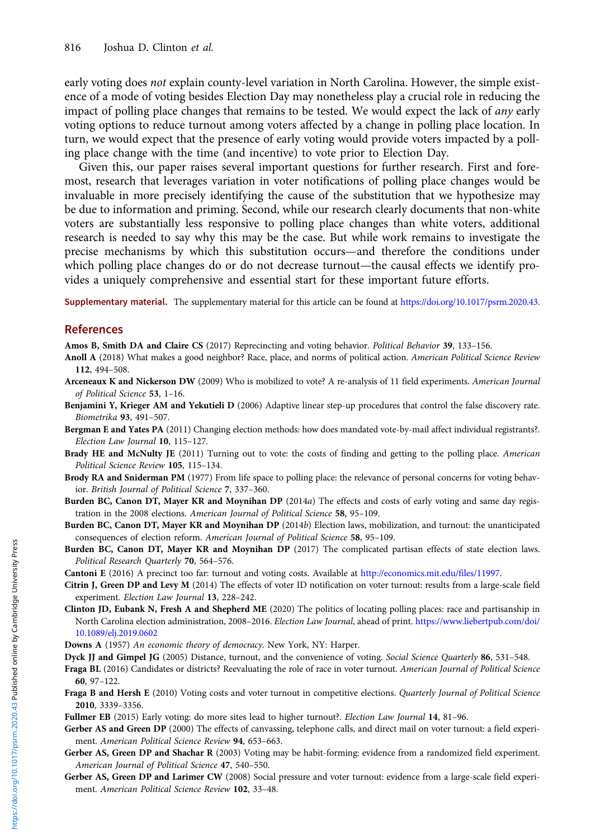<span id="page-16-0"></span>early voting does not explain county-level variation in North Carolina. However, the simple existence of a mode of voting besides Election Day may nonetheless play a crucial role in reducing the impact of polling place changes that remains to be tested. We would expect the lack of *any* early voting options to reduce turnout among voters affected by a change in polling place location. In turn, we would expect that the presence of early voting would provide voters impacted by a polling place change with the time (and incentive) to vote prior to Election Day.

Given this, our paper raises several important questions for further research. First and foremost, research that leverages variation in voter notifications of polling place changes would be invaluable in more precisely identifying the cause of the substitution that we hypothesize may be due to information and priming. Second, while our research clearly documents that non-white voters are substantially less responsive to polling place changes than white voters, additional research is needed to say why this may be the case. But while work remains to investigate the precise mechanisms by which this substitution occurs—and therefore the conditions under which polling place changes do or do not decrease turnout—the causal effects we identify provides a uniquely comprehensive and essential start for these important future efforts.

Supplementary material. The supplementary material for this article can be found at [https://doi.org/10.1017/psrm.2020.43.](https://doi.org/10.1017/psrm.2020.43)

#### **References**

Amos B, Smith DA and Claire CS (2017) Reprecincting and voting behavior. Political Behavior 39, 133–156.

- Anoll A (2018) What makes a good neighbor? Race, place, and norms of political action. American Political Science Review 112, 494–508.
- Arceneaux K and Nickerson DW (2009) Who is mobilized to vote? A re-analysis of 11 field experiments. American Journal of Political Science 53, 1–16.
- Benjamini Y, Krieger AM and Yekutieli D (2006) Adaptive linear step-up procedures that control the false discovery rate. Biometrika 93, 491–507.
- Bergman E and Yates PA (2011) Changing election methods: how does mandated vote-by-mail affect individual registrants?. Election Law Journal 10, 115–127.
- Brady HE and McNulty JE (2011) Turning out to vote: the costs of finding and getting to the polling place. American Political Science Review 105, 115–134.
- Brody RA and Sniderman PM (1977) From life space to polling place: the relevance of personal concerns for voting behavior. British Journal of Political Science 7, 337–360.
- Burden BC, Canon DT, Mayer KR and Moynihan DP (2014a) The effects and costs of early voting and same day registration in the 2008 elections. American Journal of Political Science 58, 95–109.
- Burden BC, Canon DT, Mayer KR and Moynihan DP (2014b) Election laws, mobilization, and turnout: the unanticipated consequences of election reform. American Journal of Political Science 58, 95–109.
- Burden BC, Canon DT, Mayer KR and Moynihan DP (2017) The complicated partisan effects of state election laws. Political Research Quarterly 70, 564–576.
- Cantoni E (2016) A precinct too far: turnout and voting costs. Available at <http://economics.mit.edu/files/11997>.
- Citrin J, Green DP and Levy M (2014) The effects of voter ID notification on voter turnout: results from a large-scale field experiment. Election Law Journal 13, 228–242.
- Clinton JD, Eubank N, Fresh A and Shepherd ME (2020) The politics of locating polling places: race and partisanship in North Carolina election administration, 2008–2016. Election Law Journal, ahead of print. [https://www.liebertpub.com/doi/](https://www.liebertpub.com/doi/10.1089/elj.2019.0602) [10.1089/elj.2019.0602](https://www.liebertpub.com/doi/10.1089/elj.2019.0602)
- Downs A (1957) An economic theory of democracy. New York, NY: Harper.
- Dyck JJ and Gimpel JG (2005) Distance, turnout, and the convenience of voting. Social Science Quarterly 86, 531-548.
- Fraga BL (2016) Candidates or districts? Reevaluating the role of race in voter turnout. American Journal of Political Science 60, 97–122.
- Fraga B and Hersh E (2010) Voting costs and voter turnout in competitive elections. Quarterly Journal of Political Science 2010, 3339–3356.
- Fullmer EB (2015) Early voting: do more sites lead to higher turnout?. Election Law Journal 14, 81–96.
- Gerber AS and Green DP (2000) The effects of canvassing, telephone calls, and direct mail on voter turnout: a field experiment. American Political Science Review 94, 653–663.
- Gerber AS, Green DP and Shachar R (2003) Voting may be habit-forming: evidence from a randomized field experiment. American Journal of Political Science 47, 540–550.
- Gerber AS, Green DP and Larimer CW (2008) Social pressure and voter turnout: evidence from a large-scale field experiment. American Political Science Review 102, 33–48.